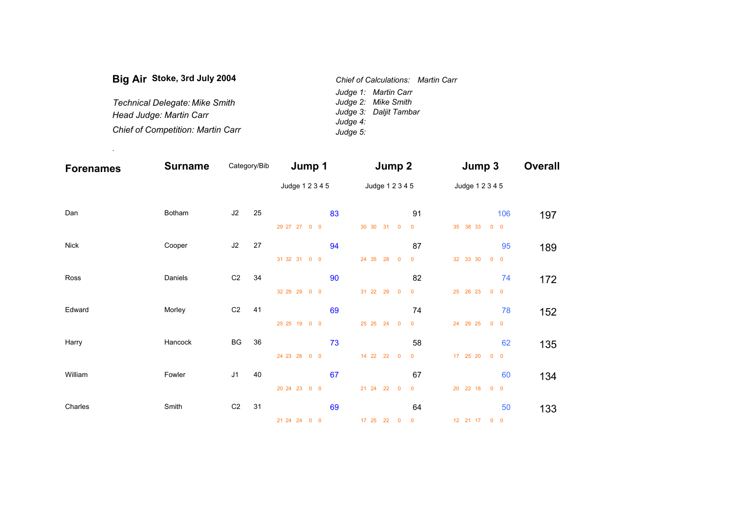| Big Air Stoke, 3rd July 2004             | Chief of Calculations: Martin Carr |
|------------------------------------------|------------------------------------|
|                                          | Judge 1: Martin Carr               |
| <b>Technical Delegate: Mike Smith</b>    | Judge 2: Mike Smith                |
| Head Judge: Martin Carr                  | Judge 3: Daljit Tambar             |
|                                          | Judge 4:                           |
| <b>Chief of Competition: Martin Carr</b> | Judge 5:                           |

.

| <b>Forenames</b> | <b>Surname</b> | Category/Bib         | Jump 1          | Jump 2                                  | Jump 3                 | <b>Overall</b> |
|------------------|----------------|----------------------|-----------------|-----------------------------------------|------------------------|----------------|
|                  |                |                      | Judge 1 2 3 4 5 | Judge 1 2 3 4 5                         | Judge 1 2 3 4 5        |                |
| Dan              | Botham         | J2<br>25             | 83              | 91                                      | 106                    | 197            |
|                  |                |                      | 29 27 27 0 0    | 30 30 31 0<br>$\mathbf 0$               | 35 38 33<br>$0\quad 0$ |                |
| Nick<br>Cooper   |                | J2<br>27             | 94              | 87                                      | 95                     | 189            |
|                  |                |                      | 31 32 31 0 0    | 24 35 28<br>$\mathbf 0$<br>$\mathbf{0}$ | 32 33 30<br>$0\quad 0$ |                |
| Daniels<br>Ross  |                | C2<br>34             | 90              | 82                                      | 74                     | 172            |
|                  |                |                      | 32 29 29 0 0    | 31 22 29 0<br>$\mathbf 0$               | 25 26 23<br>$0\quad 0$ |                |
| Edward<br>Morley |                | C <sub>2</sub><br>41 | 69              | 74                                      | 78                     | 152            |
|                  |                |                      | 25 25 19 0 0    | 25 25 24 0<br>$\mathbf 0$               | 24 29 25<br>$0\quad 0$ |                |
| Hancock<br>Harry |                | BG<br>36             | 73              | 58                                      | 62                     |                |
|                  |                |                      | 24 23 26 0 0    | 14 22 22 0<br>$\mathbf 0$               | 17 25 20<br>$0\quad 0$ | 135            |
|                  |                |                      |                 |                                         |                        |                |
| William          | Fowler         | J <sub>1</sub><br>40 | 67              | 67                                      | 60                     | 134            |
|                  |                |                      | 20 24 23 0 0    | 21 24 22 0<br>$\mathbf 0$               | 20 22 18<br>$0\quad 0$ |                |
| Charles          | Smith          | C <sub>2</sub><br>31 | 69              | 64                                      | 50                     | 133            |
|                  |                |                      | 21 24 24 0 0    | $\mathbf 0$<br>17 25 22<br>$\mathbf 0$  | 12 21 17<br>$0\quad 0$ |                |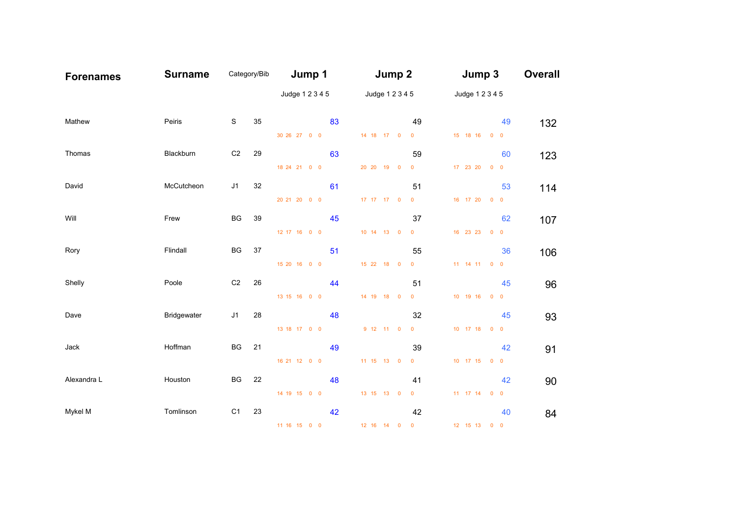| <b>Forenames</b> | <b>Surname</b> |                | Category/Bib    | Jump 1       |                 | Jump 2       |                 | Jump 3                 | <b>Overall</b> |
|------------------|----------------|----------------|-----------------|--------------|-----------------|--------------|-----------------|------------------------|----------------|
|                  |                |                | Judge 1 2 3 4 5 |              | Judge 1 2 3 4 5 |              | Judge 1 2 3 4 5 |                        |                |
| Mathew           | Peiris         | S              | 35              |              | 83              |              | 49              | 49                     | 132            |
|                  |                |                |                 | 30 26 27 0 0 |                 | 14 18 17 0 0 |                 | 15 18 16 0 0           |                |
| Thomas           | Blackburn      | C <sub>2</sub> | 29              |              | 63              |              | 59              | 60                     | 123            |
|                  |                |                |                 | 18 24 21 0 0 |                 | 20 20 19 0   | $\overline{0}$  | 17 23 20<br>$0\quad 0$ |                |
| David            | McCutcheon     | J <sub>1</sub> | 32              |              | 61              |              | 51              | 53                     | 114            |
|                  |                |                |                 | 20 21 20 0 0 |                 | 17 17 17 0 0 |                 | 16 17 20 0 0           |                |
| Will             | Frew           | BG             | 39              |              | 45              |              | 37              | 62                     | 107            |
|                  |                |                |                 | 12 17 16 0 0 |                 | 10 14 13 0   | $\overline{0}$  | 16 23 23<br>$0\quad 0$ |                |
| Rory             | Flindall       | BG             | 37              |              | 51              |              | 55              | 36                     |                |
|                  |                |                |                 | 15 20 16 0 0 |                 | 15 22 18 0   | $\overline{0}$  | 11 14 11 0 0           | 106            |
|                  |                |                |                 |              |                 |              |                 |                        |                |
| Shelly           | Poole          | C <sub>2</sub> | 26              |              | 44              | 14 19 18 0   | 51              | 45                     | 96             |
|                  |                |                |                 | 13 15 16 0 0 |                 |              | $\overline{0}$  | 10 19 16 0 0           |                |
| Dave             | Bridgewater    | J1             | 28              |              | 48              |              | 32              | 45                     | 93             |
|                  |                |                |                 | 13 18 17 0 0 |                 | 9 12 11 0    | $\overline{0}$  | 10 17 18 0 0           |                |
| Jack             | Hoffman        | BG             | 21              |              | 49              |              | 39              | 42                     | 91             |
|                  |                |                |                 | 16 21 12 0 0 |                 | 11 15 13 0   | $\overline{0}$  | 10 17 15 0 0           |                |
| Alexandra L      | Houston        | BG             | 22              |              | 48              |              | 41              | 42                     | 90             |
|                  |                |                |                 | 14 19 15 0 0 |                 | 13 15 13 0 0 |                 | 11 17 14 0 0           |                |
| Mykel M          | Tomlinson      | C <sub>1</sub> | 23              |              | 42              |              | 42              | 40                     | 84             |
|                  |                |                |                 | 11 16 15 0 0 |                 | 12 16 14 0 0 |                 | 12 15 13<br>$0\quad 0$ |                |